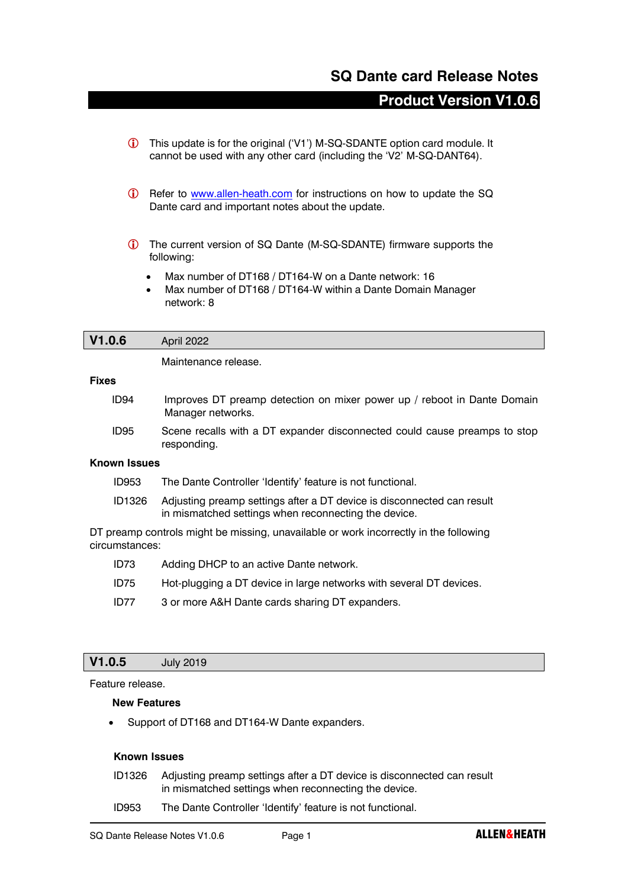# **SQ Dante card Release Notes**

# **Product Version V1.0.6**

- This update is for the original ('V1') M-SQ-SDANTE option card module. It cannot be used with any other card (including the 'V2' M-SQ-DANT64).
- G Refer to [www.allen-heath.com](http://www.allen-heath.com/) for instructions on how to update the SQ Dante card and important notes about the update.
- The current version of SQ Dante (M-SQ-SDANTE) firmware supports the following:
	- Max number of DT168 / DT164-W on a Dante network: 16
	- Max number of DT168 / DT164-W within a Dante Domain Manager network: 8

## **V1.0.6** April 2022

Maintenance release.

#### **Fixes**

ID94 Improves DT preamp detection on mixer power up / reboot in Dante Domain Manager networks. ID95 Scene recalls with a DT expander disconnected could cause preamps to stop responding.

#### **Known Issues**

- ID953 The Dante Controller 'Identify' feature is not functional.
- ID1326 Adjusting preamp settings after a DT device is disconnected can result in mismatched settings when reconnecting the device.

DT preamp controls might be missing, unavailable or work incorrectly in the following circumstances:

- ID73 Adding DHCP to an active Dante network.
- ID75 Hot-plugging a DT device in large networks with several DT devices.
- ID77 3 or more A&H Dante cards sharing DT expanders.

## **V1.0.5** July 2019

Feature release.

#### **New Features**

• Support of DT168 and DT164-W Dante expanders.

### **Known Issues**

- ID1326 Adjusting preamp settings after a DT device is disconnected can result in mismatched settings when reconnecting the device.
- ID953 The Dante Controller 'Identify' feature is not functional.